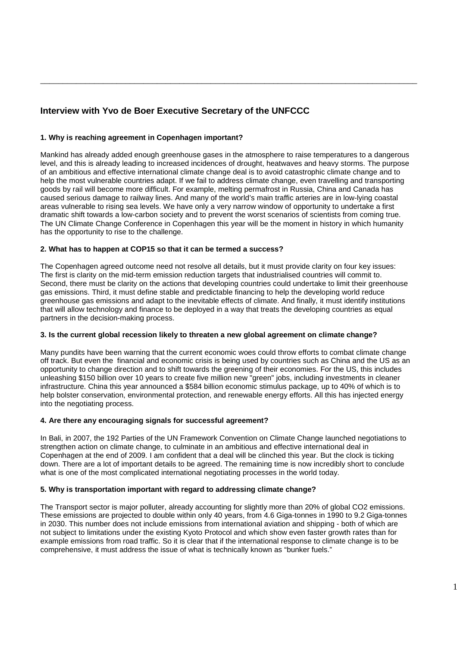# **Interview with Yvo de Boer Executive Secretary of the UNFCCC**

## **1. Why is reaching agreement in Copenhagen important?**

Mankind has already added enough greenhouse gases in the atmosphere to raise temperatures to a dangerous level, and this is already leading to increased incidences of drought, heatwaves and heavy storms. The purpose of an ambitious and effective international climate change deal is to avoid catastrophic climate change and to help the most vulnerable countries adapt. If we fail to address climate change, even travelling and transporting goods by rail will become more difficult. For example, melting permafrost in Russia, China and Canada has caused serious damage to railway lines. And many of the world's main traffic arteries are in low-lying coastal areas vulnerable to rising sea levels. We have only a very narrow window of opportunity to undertake a first dramatic shift towards a low-carbon society and to prevent the worst scenarios of scientists from coming true. The UN Climate Change Conference in Copenhagen this year will be the moment in history in which humanity has the opportunity to rise to the challenge.

\_\_\_\_\_\_\_\_\_\_\_\_\_\_\_\_\_\_\_\_\_\_\_\_\_\_\_\_\_\_\_\_\_\_\_\_\_\_\_\_\_\_\_\_\_\_\_\_\_\_\_\_\_\_\_\_\_\_\_\_\_\_\_\_\_\_\_\_\_\_\_\_\_\_\_\_\_\_\_\_\_\_\_\_

## **2. What has to happen at COP15 so that it can be termed a success?**

The Copenhagen agreed outcome need not resolve all details, but it must provide clarity on four key issues: The first is clarity on the mid-term emission reduction targets that industrialised countries will commit to. Second, there must be clarity on the actions that developing countries could undertake to limit their greenhouse gas emissions. Third, it must define stable and predictable financing to help the developing world reduce greenhouse gas emissions and adapt to the inevitable effects of climate. And finally, it must identify institutions that will allow technology and finance to be deployed in a way that treats the developing countries as equal partners in the decision-making process.

## **3. Is the current global recession likely to threaten a new global agreement on climate change?**

Many pundits have been warning that the current economic woes could throw efforts to combat climate change off track. But even the financial and economic crisis is being used by countries such as China and the US as an opportunity to change direction and to shift towards the greening of their economies. For the US, this includes unleashing \$150 billion over 10 years to create five million new "green" jobs, including investments in cleaner infrastructure. China this year announced a \$584 billion economic stimulus package, up to 40% of which is to help bolster conservation, environmental protection, and renewable energy efforts. All this has injected energy into the negotiating process.

## **4. Are there any encouraging signals for successful agreement?**

In Bali, in 2007, the 192 Parties of the UN Framework Convention on Climate Change launched negotiations to strengthen action on climate change, to culminate in an ambitious and effective international deal in Copenhagen at the end of 2009. I am confident that a deal will be clinched this year. But the clock is ticking down. There are a lot of important details to be agreed. The remaining time is now incredibly short to conclude what is one of the most complicated international negotiating processes in the world today.

## **5. Why is transportation important with regard to addressing climate change?**

The Transport sector is major polluter, already accounting for slightly more than 20% of global CO2 emissions. These emissions are projected to double within only 40 years, from 4.6 Giga-tonnes in 1990 to 9.2 Giga-tonnes in 2030. This number does not include emissions from international aviation and shipping - both of which are not subject to limitations under the existing Kyoto Protocol and which show even faster growth rates than for example emissions from road traffic. So it is clear that if the international response to climate change is to be comprehensive, it must address the issue of what is technically known as "bunker fuels."